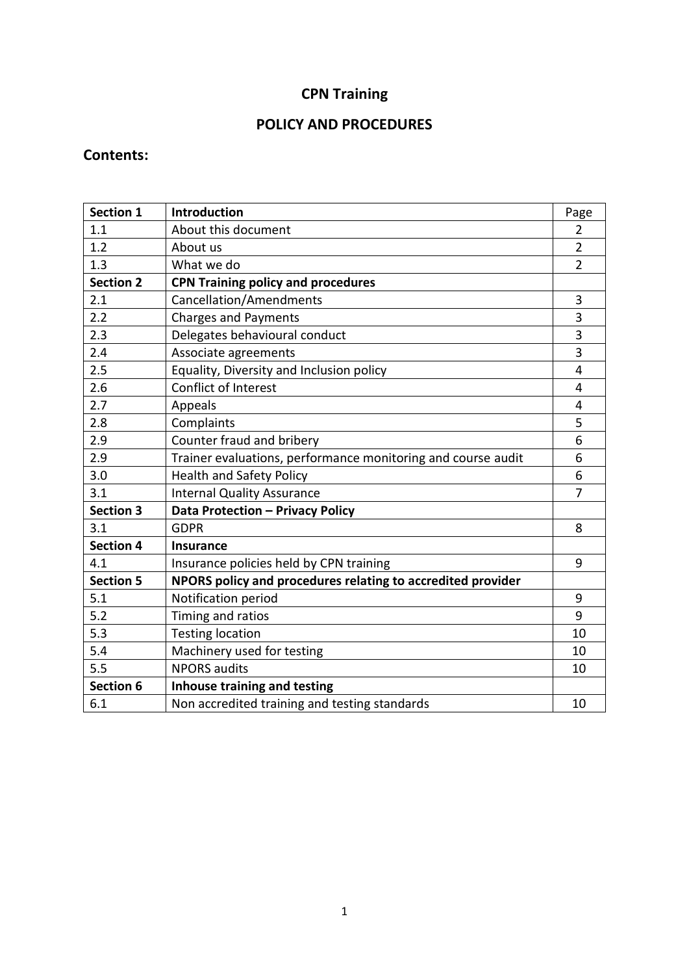# **CPN Training**

# **POLICY AND PROCEDURES**

## **Contents:**

| <b>Section 1</b> | Introduction                                                 | Page           |
|------------------|--------------------------------------------------------------|----------------|
| 1.1              | About this document                                          | $\overline{2}$ |
| 1.2              | About us                                                     | $\overline{2}$ |
| 1.3              | What we do                                                   | $\overline{2}$ |
| <b>Section 2</b> | <b>CPN Training policy and procedures</b>                    |                |
| 2.1              | Cancellation/Amendments                                      | 3              |
| 2.2              | <b>Charges and Payments</b>                                  | 3              |
| 2.3              | Delegates behavioural conduct                                | 3              |
| 2.4              | Associate agreements                                         | 3              |
| 2.5              | Equality, Diversity and Inclusion policy                     | $\overline{4}$ |
| 2.6              | Conflict of Interest                                         | 4              |
| 2.7              | Appeals                                                      | 4              |
| 2.8              | Complaints                                                   | 5              |
| 2.9              | Counter fraud and bribery                                    | 6              |
| 2.9              | Trainer evaluations, performance monitoring and course audit | 6              |
| 3.0              | <b>Health and Safety Policy</b>                              | 6              |
| 3.1              | <b>Internal Quality Assurance</b>                            | $\overline{7}$ |
| <b>Section 3</b> | Data Protection - Privacy Policy                             |                |
| 3.1              | <b>GDPR</b>                                                  | 8              |
| <b>Section 4</b> | <b>Insurance</b>                                             |                |
| 4.1              | Insurance policies held by CPN training                      | 9              |
| <b>Section 5</b> | NPORS policy and procedures relating to accredited provider  |                |
| 5.1              | Notification period                                          | 9              |
| 5.2              | Timing and ratios                                            | 9              |
| 5.3              | <b>Testing location</b>                                      | 10             |
| 5.4              | Machinery used for testing                                   | 10             |
| 5.5              | <b>NPORS audits</b>                                          | 10             |
| Section 6        | <b>Inhouse training and testing</b>                          |                |
| 6.1              | Non accredited training and testing standards                | 10             |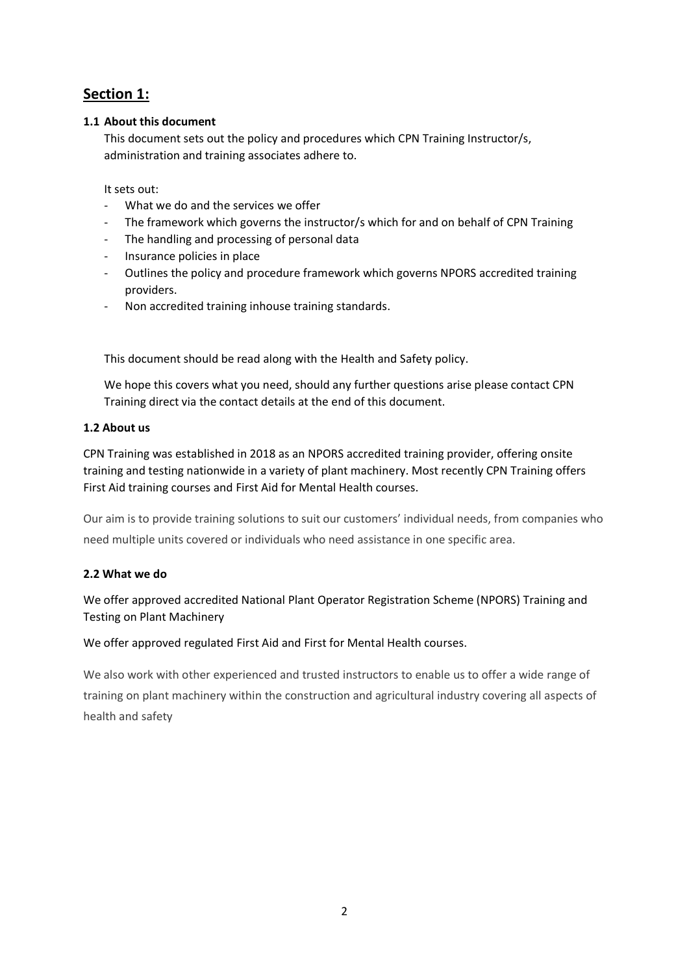## **Section 1:**

## **1.1 About this document**

This document sets out the policy and procedures which CPN Training Instructor/s, administration and training associates adhere to.

It sets out:

- What we do and the services we offer
- The framework which governs the instructor/s which for and on behalf of CPN Training
- The handling and processing of personal data
- Insurance policies in place
- Outlines the policy and procedure framework which governs NPORS accredited training providers.
- Non accredited training inhouse training standards.

This document should be read along with the Health and Safety policy.

We hope this covers what you need, should any further questions arise please contact CPN Training direct via the contact details at the end of this document.

## **1.2 About us**

CPN Training was established in 2018 as an NPORS accredited training provider, offering onsite training and testing nationwide in a variety of plant machinery. Most recently CPN Training offers First Aid training courses and First Aid for Mental Health courses.

Our aim is to provide training solutions to suit our customers' individual needs, from companies who need multiple units covered or individuals who need assistance in one specific area.

## **2.2 What we do**

We offer approved accredited National Plant Operator Registration Scheme (NPORS) Training and Testing on Plant Machinery

We offer approved regulated First Aid and First for Mental Health courses.

We also work with other experienced and trusted instructors to enable us to offer a wide range of training on plant machinery within the construction and agricultural industry covering all aspects of health and safety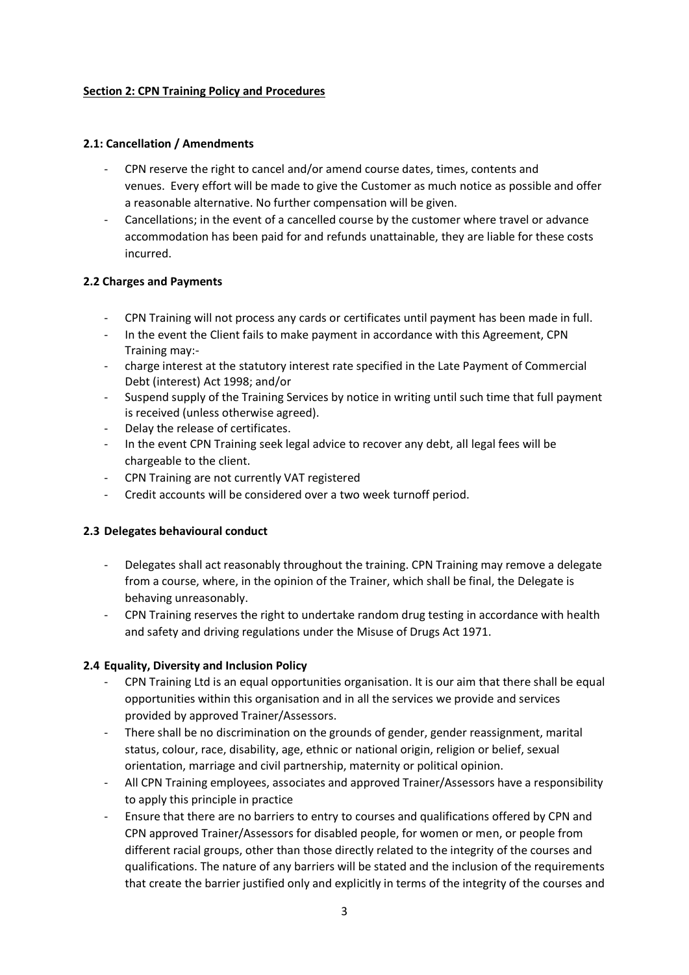## **Section 2: CPN Training Policy and Procedures**

## **2.1: Cancellation / Amendments**

- CPN reserve the right to cancel and/or amend course dates, times, contents and venues. Every effort will be made to give the Customer as much notice as possible and offer a reasonable alternative. No further compensation will be given.
- Cancellations; in the event of a cancelled course by the customer where travel or advance accommodation has been paid for and refunds unattainable, they are liable for these costs incurred.

## **2.2 Charges and Payments**

- CPN Training will not process any cards or certificates until payment has been made in full.
- In the event the Client fails to make payment in accordance with this Agreement, CPN Training may:-
- charge interest at the statutory interest rate specified in the Late Payment of Commercial Debt (interest) Act 1998; and/or
- Suspend supply of the Training Services by notice in writing until such time that full payment is received (unless otherwise agreed).
- Delay the release of certificates.
- In the event CPN Training seek legal advice to recover any debt, all legal fees will be chargeable to the client.
- CPN Training are not currently VAT registered
- Credit accounts will be considered over a two week turnoff period.

## **2.3 Delegates behavioural conduct**

- Delegates shall act reasonably throughout the training. CPN Training may remove a delegate from a course, where, in the opinion of the Trainer, which shall be final, the Delegate is behaving unreasonably.
- CPN Training reserves the right to undertake random drug testing in accordance with health and safety and driving regulations under the Misuse of Drugs Act 1971.

## **2.4 Equality, Diversity and Inclusion Policy**

- CPN Training Ltd is an equal opportunities organisation. It is our aim that there shall be equal opportunities within this organisation and in all the services we provide and services provided by approved Trainer/Assessors.
- There shall be no discrimination on the grounds of gender, gender reassignment, marital status, colour, race, disability, age, ethnic or national origin, religion or belief, sexual orientation, marriage and civil partnership, maternity or political opinion.
- All CPN Training employees, associates and approved Trainer/Assessors have a responsibility to apply this principle in practice
- Ensure that there are no barriers to entry to courses and qualifications offered by CPN and CPN approved Trainer/Assessors for disabled people, for women or men, or people from different racial groups, other than those directly related to the integrity of the courses and qualifications. The nature of any barriers will be stated and the inclusion of the requirements that create the barrier justified only and explicitly in terms of the integrity of the courses and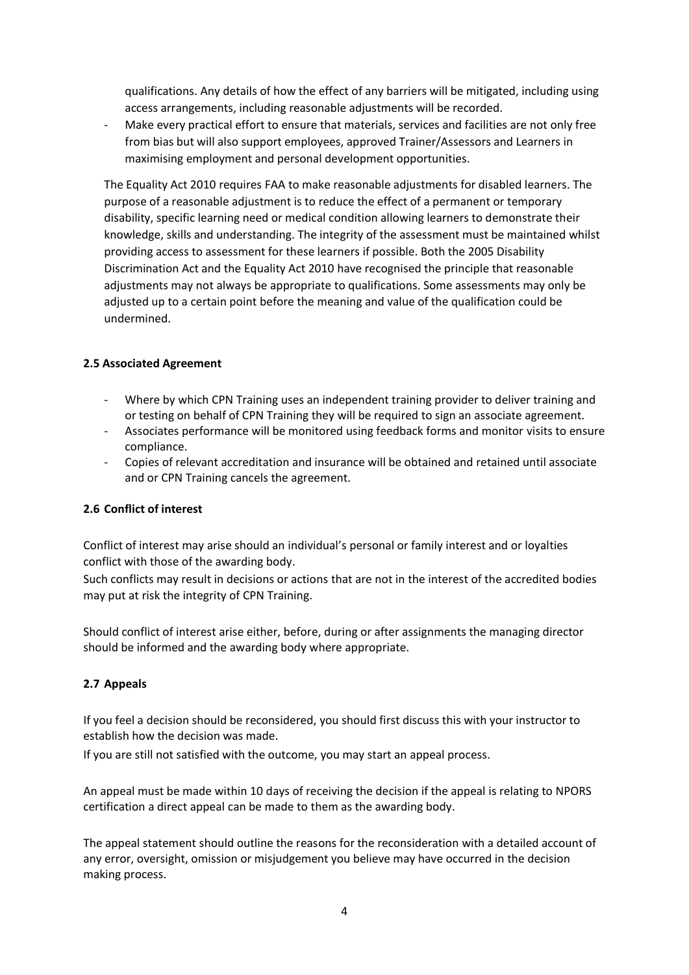qualifications. Any details of how the effect of any barriers will be mitigated, including using access arrangements, including reasonable adjustments will be recorded.

- Make every practical effort to ensure that materials, services and facilities are not only free from bias but will also support employees, approved Trainer/Assessors and Learners in maximising employment and personal development opportunities.

The Equality Act 2010 requires FAA to make reasonable adjustments for disabled learners. The purpose of a reasonable adjustment is to reduce the effect of a permanent or temporary disability, specific learning need or medical condition allowing learners to demonstrate their knowledge, skills and understanding. The integrity of the assessment must be maintained whilst providing access to assessment for these learners if possible. Both the 2005 Disability Discrimination Act and the Equality Act 2010 have recognised the principle that reasonable adjustments may not always be appropriate to qualifications. Some assessments may only be adjusted up to a certain point before the meaning and value of the qualification could be undermined.

## **2.5 Associated Agreement**

- Where by which CPN Training uses an independent training provider to deliver training and or testing on behalf of CPN Training they will be required to sign an associate agreement.
- Associates performance will be monitored using feedback forms and monitor visits to ensure compliance.
- Copies of relevant accreditation and insurance will be obtained and retained until associate and or CPN Training cancels the agreement.

## **2.6 Conflict of interest**

Conflict of interest may arise should an individual's personal or family interest and or loyalties conflict with those of the awarding body.

Such conflicts may result in decisions or actions that are not in the interest of the accredited bodies may put at risk the integrity of CPN Training.

Should conflict of interest arise either, before, during or after assignments the managing director should be informed and the awarding body where appropriate.

## **2.7 Appeals**

If you feel a decision should be reconsidered, you should first discuss this with your instructor to establish how the decision was made.

If you are still not satisfied with the outcome, you may start an appeal process.

An appeal must be made within 10 days of receiving the decision if the appeal is relating to NPORS certification a direct appeal can be made to them as the awarding body.

The appeal statement should outline the reasons for the reconsideration with a detailed account of any error, oversight, omission or misjudgement you believe may have occurred in the decision making process.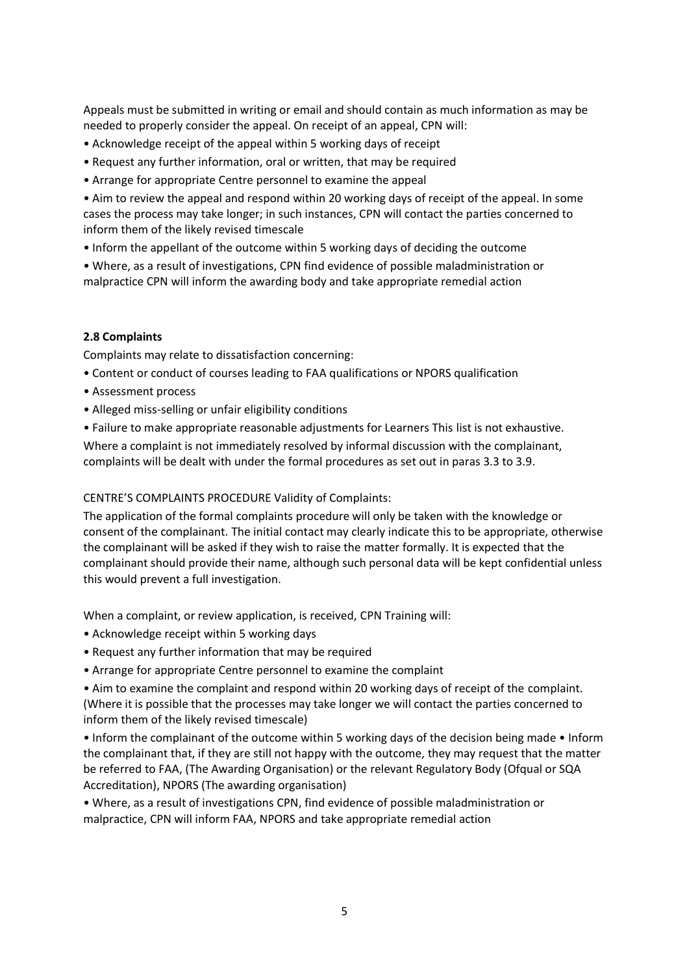Appeals must be submitted in writing or email and should contain as much information as may be needed to properly consider the appeal. On receipt of an appeal, CPN will:

- Acknowledge receipt of the appeal within 5 working days of receipt
- Request any further information, oral or written, that may be required
- Arrange for appropriate Centre personnel to examine the appeal

• Aim to review the appeal and respond within 20 working days of receipt of the appeal. In some cases the process may take longer; in such instances, CPN will contact the parties concerned to inform them of the likely revised timescale

• Inform the appellant of the outcome within 5 working days of deciding the outcome

• Where, as a result of investigations, CPN find evidence of possible maladministration or malpractice CPN will inform the awarding body and take appropriate remedial action

## **2.8 Complaints**

Complaints may relate to dissatisfaction concerning:

- Content or conduct of courses leading to FAA qualifications or NPORS qualification
- Assessment process
- Alleged miss-selling or unfair eligibility conditions
- Failure to make appropriate reasonable adjustments for Learners This list is not exhaustive.

Where a complaint is not immediately resolved by informal discussion with the complainant, complaints will be dealt with under the formal procedures as set out in paras 3.3 to 3.9.

#### CENTRE'S COMPLAINTS PROCEDURE Validity of Complaints:

The application of the formal complaints procedure will only be taken with the knowledge or consent of the complainant. The initial contact may clearly indicate this to be appropriate, otherwise the complainant will be asked if they wish to raise the matter formally. It is expected that the complainant should provide their name, although such personal data will be kept confidential unless this would prevent a full investigation.

When a complaint, or review application, is received, CPN Training will:

- Acknowledge receipt within 5 working days
- Request any further information that may be required
- Arrange for appropriate Centre personnel to examine the complaint

• Aim to examine the complaint and respond within 20 working days of receipt of the complaint. (Where it is possible that the processes may take longer we will contact the parties concerned to inform them of the likely revised timescale)

• Inform the complainant of the outcome within 5 working days of the decision being made • Inform the complainant that, if they are still not happy with the outcome, they may request that the matter be referred to FAA, (The Awarding Organisation) or the relevant Regulatory Body (Ofqual or SQA Accreditation), NPORS (The awarding organisation)

• Where, as a result of investigations CPN, find evidence of possible maladministration or malpractice, CPN will inform FAA, NPORS and take appropriate remedial action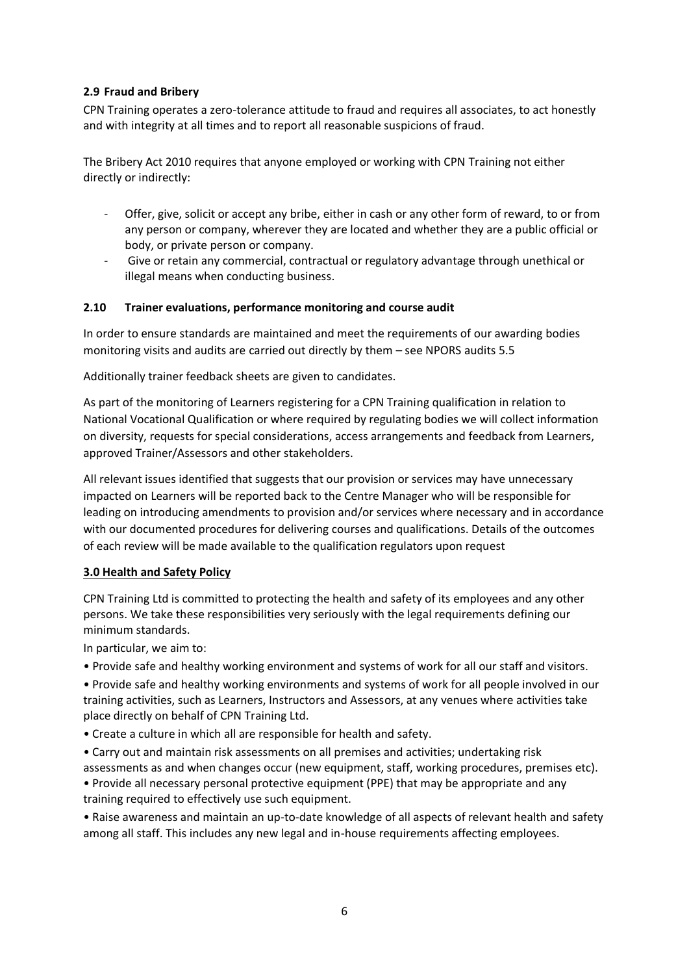## **2.9 Fraud and Bribery**

CPN Training operates a zero-tolerance attitude to fraud and requires all associates, to act honestly and with integrity at all times and to report all reasonable suspicions of fraud.

The Bribery Act 2010 requires that anyone employed or working with CPN Training not either directly or indirectly:

- Offer, give, solicit or accept any bribe, either in cash or any other form of reward, to or from any person or company, wherever they are located and whether they are a public official or body, or private person or company.
- Give or retain any commercial, contractual or regulatory advantage through unethical or illegal means when conducting business.

## **2.10 Trainer evaluations, performance monitoring and course audit**

In order to ensure standards are maintained and meet the requirements of our awarding bodies monitoring visits and audits are carried out directly by them – see NPORS audits 5.5

Additionally trainer feedback sheets are given to candidates.

As part of the monitoring of Learners registering for a CPN Training qualification in relation to National Vocational Qualification or where required by regulating bodies we will collect information on diversity, requests for special considerations, access arrangements and feedback from Learners, approved Trainer/Assessors and other stakeholders.

All relevant issues identified that suggests that our provision or services may have unnecessary impacted on Learners will be reported back to the Centre Manager who will be responsible for leading on introducing amendments to provision and/or services where necessary and in accordance with our documented procedures for delivering courses and qualifications. Details of the outcomes of each review will be made available to the qualification regulators upon request

## **3.0 Health and Safety Policy**

CPN Training Ltd is committed to protecting the health and safety of its employees and any other persons. We take these responsibilities very seriously with the legal requirements defining our minimum standards.

In particular, we aim to:

- Provide safe and healthy working environment and systems of work for all our staff and visitors.
- Provide safe and healthy working environments and systems of work for all people involved in our training activities, such as Learners, Instructors and Assessors, at any venues where activities take place directly on behalf of CPN Training Ltd.
- Create a culture in which all are responsible for health and safety.
- Carry out and maintain risk assessments on all premises and activities; undertaking risk assessments as and when changes occur (new equipment, staff, working procedures, premises etc).
- Provide all necessary personal protective equipment (PPE) that may be appropriate and any training required to effectively use such equipment.

• Raise awareness and maintain an up-to-date knowledge of all aspects of relevant health and safety among all staff. This includes any new legal and in-house requirements affecting employees.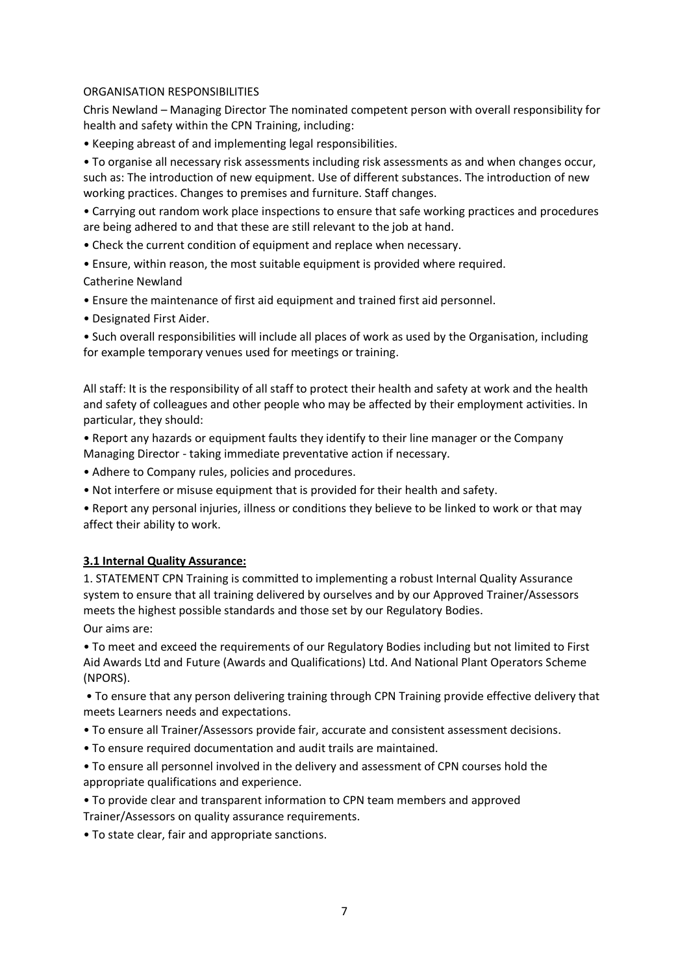#### ORGANISATION RESPONSIBILITIES

Chris Newland – Managing Director The nominated competent person with overall responsibility for health and safety within the CPN Training, including:

• Keeping abreast of and implementing legal responsibilities.

• To organise all necessary risk assessments including risk assessments as and when changes occur, such as: The introduction of new equipment. Use of different substances. The introduction of new working practices. Changes to premises and furniture. Staff changes.

• Carrying out random work place inspections to ensure that safe working practices and procedures are being adhered to and that these are still relevant to the job at hand.

- Check the current condition of equipment and replace when necessary.
- Ensure, within reason, the most suitable equipment is provided where required.
- Catherine Newland
- Ensure the maintenance of first aid equipment and trained first aid personnel.
- Designated First Aider.

• Such overall responsibilities will include all places of work as used by the Organisation, including for example temporary venues used for meetings or training.

All staff: It is the responsibility of all staff to protect their health and safety at work and the health and safety of colleagues and other people who may be affected by their employment activities. In particular, they should:

• Report any hazards or equipment faults they identify to their line manager or the Company Managing Director - taking immediate preventative action if necessary.

- Adhere to Company rules, policies and procedures.
- Not interfere or misuse equipment that is provided for their health and safety.

• Report any personal injuries, illness or conditions they believe to be linked to work or that may affect their ability to work.

#### **3.1 Internal Quality Assurance:**

1. STATEMENT CPN Training is committed to implementing a robust Internal Quality Assurance system to ensure that all training delivered by ourselves and by our Approved Trainer/Assessors meets the highest possible standards and those set by our Regulatory Bodies. Our aims are:

• To meet and exceed the requirements of our Regulatory Bodies including but not limited to First Aid Awards Ltd and Future (Awards and Qualifications) Ltd. And National Plant Operators Scheme (NPORS).

• To ensure that any person delivering training through CPN Training provide effective delivery that meets Learners needs and expectations.

- To ensure all Trainer/Assessors provide fair, accurate and consistent assessment decisions.
- To ensure required documentation and audit trails are maintained.

• To ensure all personnel involved in the delivery and assessment of CPN courses hold the appropriate qualifications and experience.

• To provide clear and transparent information to CPN team members and approved Trainer/Assessors on quality assurance requirements.

• To state clear, fair and appropriate sanctions.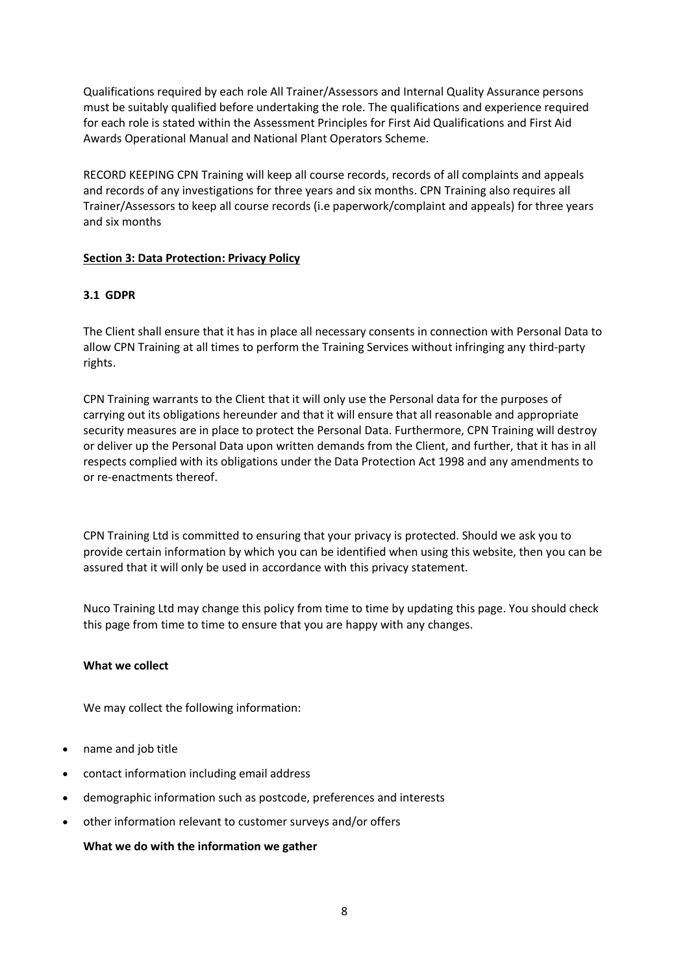Qualifications required by each role All Trainer/Assessors and Internal Quality Assurance persons must be suitably qualified before undertaking the role. The qualifications and experience required for each role is stated within the Assessment Principles for First Aid Qualifications and First Aid Awards Operational Manual and National Plant Operators Scheme.

RECORD KEEPING CPN Training will keep all course records, records of all complaints and appeals and records of any investigations for three years and six months. CPN Training also requires all Trainer/Assessors to keep all course records (i.e paperwork/complaint and appeals) for three years and six months

## **Section 3: Data Protection: Privacy Policy**

## **3.1 GDPR**

The Client shall ensure that it has in place all necessary consents in connection with Personal Data to allow CPN Training at all times to perform the Training Services without infringing any third-party rights.

CPN Training warrants to the Client that it will only use the Personal data for the purposes of carrying out its obligations hereunder and that it will ensure that all reasonable and appropriate security measures are in place to protect the Personal Data. Furthermore, CPN Training will destroy or deliver up the Personal Data upon written demands from the Client, and further, that it has in all respects complied with its obligations under the Data Protection Act 1998 and any amendments to or re-enactments thereof.

CPN Training Ltd is committed to ensuring that your privacy is protected. Should we ask you to provide certain information by which you can be identified when using this website, then you can be assured that it will only be used in accordance with this privacy statement.

Nuco Training Ltd may change this policy from time to time by updating this page. You should check this page from time to time to ensure that you are happy with any changes.

#### **What we collect**

We may collect the following information:

- name and job title
- contact information including email address
- demographic information such as postcode, preferences and interests
- other information relevant to customer surveys and/or offers

#### **What we do with the information we gather**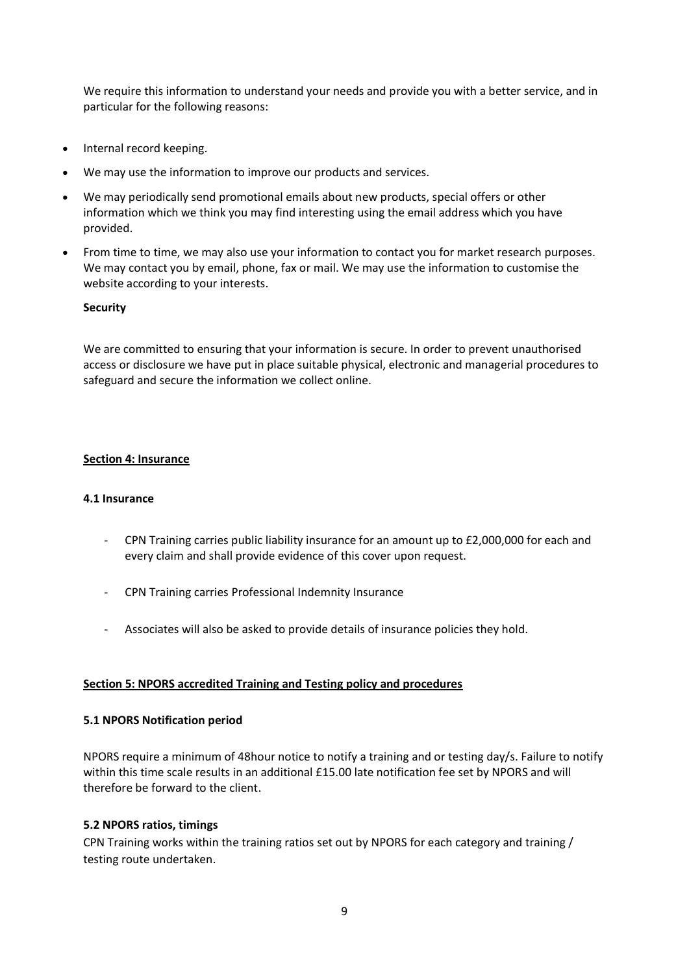We require this information to understand your needs and provide you with a better service, and in particular for the following reasons:

- Internal record keeping.
- We may use the information to improve our products and services.
- We may periodically send promotional emails about new products, special offers or other information which we think you may find interesting using the email address which you have provided.
- From time to time, we may also use your information to contact you for market research purposes. We may contact you by email, phone, fax or mail. We may use the information to customise the website according to your interests.

#### **Security**

We are committed to ensuring that your information is secure. In order to prevent unauthorised access or disclosure we have put in place suitable physical, electronic and managerial procedures to safeguard and secure the information we collect online.

## **Section 4: Insurance**

#### **4.1 Insurance**

- CPN Training carries public liability insurance for an amount up to £2,000,000 for each and every claim and shall provide evidence of this cover upon request.
- CPN Training carries Professional Indemnity Insurance
- Associates will also be asked to provide details of insurance policies they hold.

#### **Section 5: NPORS accredited Training and Testing policy and procedures**

#### **5.1 NPORS Notification period**

NPORS require a minimum of 48hour notice to notify a training and or testing day/s. Failure to notify within this time scale results in an additional £15.00 late notification fee set by NPORS and will therefore be forward to the client.

#### **5.2 NPORS ratios, timings**

CPN Training works within the training ratios set out by NPORS for each category and training / testing route undertaken.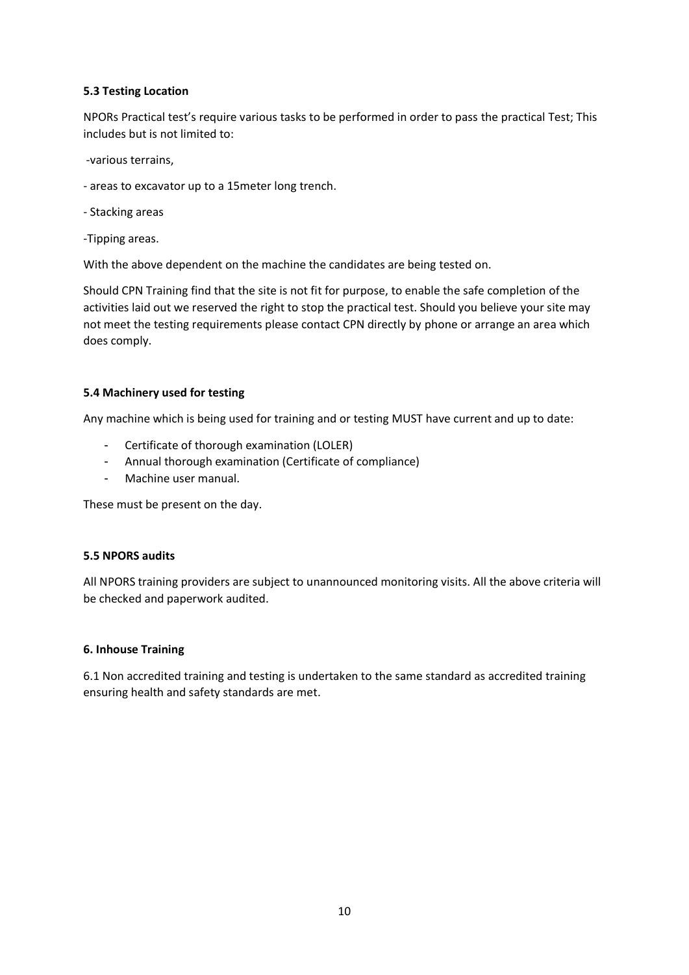## **5.3 Testing Location**

NPORs Practical test's require various tasks to be performed in order to pass the practical Test; This includes but is not limited to:

-various terrains,

- areas to excavator up to a 15meter long trench.

- Stacking areas

-Tipping areas.

With the above dependent on the machine the candidates are being tested on.

Should CPN Training find that the site is not fit for purpose, to enable the safe completion of the activities laid out we reserved the right to stop the practical test. Should you believe your site may not meet the testing requirements please contact CPN directly by phone or arrange an area which does comply.

#### **5.4 Machinery used for testing**

Any machine which is being used for training and or testing MUST have current and up to date:

- Certificate of thorough examination (LOLER)
- Annual thorough examination (Certificate of compliance)
- Machine user manual.

These must be present on the day.

#### **5.5 NPORS audits**

All NPORS training providers are subject to unannounced monitoring visits. All the above criteria will be checked and paperwork audited.

#### **6. Inhouse Training**

6.1 Non accredited training and testing is undertaken to the same standard as accredited training ensuring health and safety standards are met.